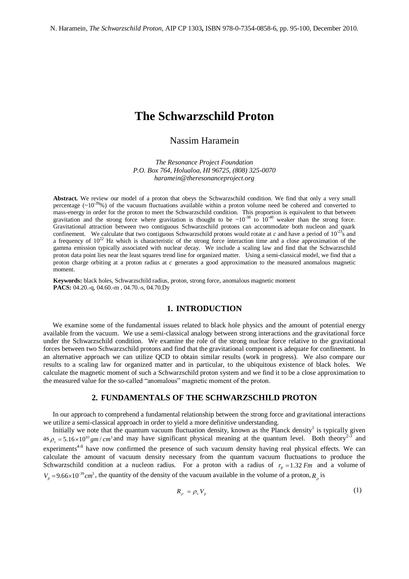# **The Schwarzschild Proton**

# Nassim Haramein

*The Resonance Project Foundation P.O. Box 764, Holualoa, HI 96725, (808) 325-0070 [haramein@theresonanceproject.org](mailto:haramein@theresonanceproject.org)*

**Abstract.** We review our model of a proton that obeys the Schwarzschild condition. We find that only a very small percentage  $({\sim}10^{-39}\%)$  of the vacuum fluctuations available within a proton volume need be cohered and converted to mass-energy in order for the proton to meet the Schwarzschild condition. This proportion is equivalent to that between gravitation and the strong force where gravitation is thought to be  $\sim 10^{-38}$  to  $10^{-40}$  weaker than the strong force. Gravitational attraction between two contiguous Schwarzschild protons can accommodate both nucleon and quark confinement. We calculate that two contiguous Schwarzschild protons would rotate at *c* and have a period of  $10^{-23}$  and a frequency of  $10^{22}$  Hz which is characteristic of the strong force interaction time and a close approximation of the gamma emission typically associated with nuclear decay. We include a scaling law and find that the Schwarzschild proton data point lies near the least squares trend line for organized matter. Using a semi-classical model, we find that a proton charge orbiting at a proton radius at *c* generates a good approximation to the measured anomalous magnetic moment.

**Keywords:** black holes, Schwarzschild radius, proton, strong force, anomalous magnetic moment **PACS:** 04.20.-q, 04.60.-m , 04.70.-s, 04.70.Dy

#### **1. INTRODUCTION**

We examine some of the fundamental issues related to black hole physics and the amount of potential energy available from the vacuum. We use a semi-classical analogy between strong interactions and the gravitational force under the Schwarzschild condition. We examine the role of the strong nuclear force relative to the gravitational forces between two Schwarzschild protons and find that the gravitational component is adequate for confinement. In an alternative approach we can utilize QCD to obtain similar results (work in progress). We also compare our results to a scaling law for organized matter and in particular, to the ubiquitous existence of black holes. We calculate the magnetic moment of such a Schwarzschild proton system and we find it to be a close approximation to the measured value for the so-called "anomalous" magnetic moment of the proton.

## **2. FUNDAMENTALS OF THE SCHWARZSCHILD PROTON**

In our approach to comprehend a fundamental relationship between the strong force and gravitational interactions we utilize a semi-classical approach in order to yield a more definitive understanding.

Initially we note that the quantum vacuum fluctuation density, known as the Planck density<sup>1</sup> is typically given as  $\rho_v = 5.16 \times 10^{93}$  gm/cm<sup>3</sup> and may have significant physical meaning at the quantum level. Both theory<sup>2-3</sup> and experiments<sup>4-8</sup> have now confirmed the presence of such vacuum density having real physical effects. We can calculate the amount of vacuum density necessary from the quantum vacuum fluctuations to produce the Schwarzschild condition at a nucleon radius. For a proton with a radius of  $r_p = 1.32$  *Fm* and a volume of  $V_p = 9.66 \times 10^{-39}$  cm<sup>3</sup>, the quantity of the density of the vacuum available in the volume of a proton,  $R_p$  is

$$
R_{\rho} = \rho_{\nu} V_{\rho} \tag{1}
$$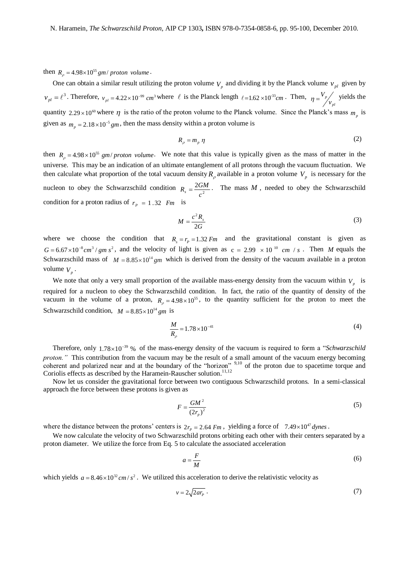then  $R_p = 4.98 \times 10^{55}$  *gm*/ *proton volume*.

One can obtain a similar result utilizing the proton volume  $V_p$  and dividing it by the Planck volume  $v_{pl}$  given by  $v_{pl} = \ell^3$ . Therefore,  $v_{pl} = 4.22 \times 10^{-99}$  cm<sup>3</sup> where  $\ell$  is the Planck length  $\ell = 1.62 \times 10^{-33}$ cm. Then, *pl p v*  $\eta = \frac{V_p}{v}$  yields the quantity 2.29 × 10<sup>60</sup> where  $\eta$  is the ratio of the proton volume to the Planck volume. Since the Planck's mass  $m_p$  is given as  $m_p = 2.18 \times 10^{-5}$  gm, then the mass density within a proton volume is

$$
R_{\rho} = m_{p} \eta \tag{2}
$$

then  $R_\rho = 4.98 \times 10^{55}$  gm/ proton volume. We note that this value is typically given as the mass of matter in the universe. This may be an indication of an ultimate entanglement of all protons through the vacuum fluctuation. We then calculate what proportion of the total vacuum density  $R_\rho$  available in a proton volume  $V_\rho$  is necessary for the nucleon to obey the Schwarzschild condition  $R_s = \frac{2G}{a^2}$ 2  $R_s = \frac{2GM}{c^2}$ . The mass *M*, needed to obey the Schwarzschild condition for a proton radius of  $r_p = 1.32$  *Fm* is

$$
M = \frac{c^2 R_s}{2G} \tag{3}
$$

where we choose the condition that  $R_e = r_p = 1.32$  *Fm* and the gravitational constant is given as  $G = 6.67 \times 10^{-8} \text{ cm}^3 / \text{ gm s}^2$ , and the velocity of light is given as  $c = 2.99 \times 10^{-10} \text{ cm} / \text{s}$ . Then *M* equals the Schwarzschild mass of  $M = 8.85 \times 10^{14}$  gm which is derived from the density of the vacuum available in a proton volume  $V_p$ .

We note that only a very small proportion of the available mass-energy density from the vacuum within  $V_p$  is required for a nucleon to obey the Schwarzschild condition. In fact, the ratio of the quantity of density of the vacuum in the volume of a proton,  $R_\rho = 4.98 \times 10^{55}$ , to the quantity sufficient for the proton to meet the Schwarzschild condition,  $M = 8.85 \times 10^{14}$  gm is

$$
\frac{M}{R_{\rho}} = 1.78 \times 10^{-41}
$$
 (4)

Therefore, only 1.78×10<sup>-39</sup> % of the mass-energy density of the vacuum is required to form a "*Schwarzschild proton."* This contribution from the vacuum may be the result of a small amount of the vacuum energy becoming coherent and polarized near and at the boundary of the "horizon" <sup>9,10</sup> of the proton due to spacetime torque and Coriolis effects as described by the Haramein-Rauscher solution.<sup>11,12</sup>

Now let us consider the gravitational force between two contiguous Schwarzschild protons. In a semi-classical approach the force between these protons is given as

$$
F = \frac{GM^2}{\left(2r_p\right)^2} \tag{5}
$$

where the distance between the protons' centers is  $2r<sub>p</sub> = 2.64$  *Fm*, yielding a force of  $7.49 \times 10^{47}$  *dynes*.

We now calculate the velocity of two Schwarzschild protons orbiting each other with their centers separated by a proton diameter. We utilize the force from Eq. 5 to calculate the associated acceleration

$$
a = \frac{F}{M} \tag{6}
$$

which yields  $a = 8.46 \times 10^{32}$  *cm* /  $s^2$ . We utilized this acceleration to derive the relativistic velocity as

$$
v = 2\sqrt{2ar_p} \tag{7}
$$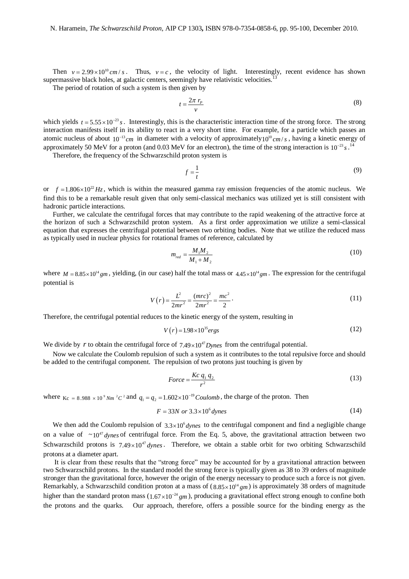Then  $v = 2.99 \times 10^{10}$  cm / s. Thus,  $v = c$ , the velocity of light. Interestingly, recent evidence has shown supermassive black holes, at galactic centers, seemingly have relativistic velocities.<sup>13</sup>

The period of rotation of such a system is then given by

$$
t = \frac{2\pi r_p}{v} \tag{8}
$$

which yields  $t = 5.55 \times 10^{-23} s$ . Interestingly, this is the characteristic interaction time of the strong force. The strong interaction manifests itself in its ability to react in a very short time. For example, for a particle which passes an atomic nucleus of about  $10^{-13}$ cm in diameter with a velocity of approximately $10^{10}$ cm/*s*, having a kinetic energy of approximately 50 MeV for a proton (and  $0.03$  MeV for an electron), the time of the strong interaction is  $10^{-23} s$ .<sup>14</sup>

Therefore, the frequency of the Schwarzschild proton system is

$$
f = \frac{1}{t} \tag{9}
$$

or  $f = 1.806 \times 10^{22}$  Hz, which is within the measured gamma ray emission frequencies of the atomic nucleus. We find this to be a remarkable result given that only semi-classical mechanics was utilized yet is still consistent with hadronic particle interactions.

Further, we calculate the centrifugal forces that may contribute to the rapid weakening of the attractive force at the horizon of such a Schwarzschild proton system. As a first order approximation we utilize a semi-classical equation that expresses the centrifugal potential between two orbiting bodies. Note that we utilize the reduced mass as typically used in nuclear physics for rotational frames of reference, calculated by

$$
m_{red} = \frac{M_1 M_2}{M_1 + M_2} \tag{10}
$$

where  $M = 8.85 \times 10^{14}$  gm, yielding, (in our case) half the total mass or  $4.45 \times 10^{14}$  gm. The expression for the centrifugal potential is

$$
V(r) = \frac{L^2}{2mr^2} = \frac{(mrc)^2}{2mr^2} = \frac{mc^2}{2} \,. \tag{11}
$$

Therefore, the centrifugal potential reduces to the kinetic energy of the system, resulting in

$$
V(r) = 1.98 \times 10^{35} ergs \tag{12}
$$

We divide by *r* to obtain the centrifugal force of  $7.49 \times 10^{47}$  *Dynes* from the centrifugal potential.

Now we calculate the Coulomb repulsion of such a system as it contributes to the total repulsive force and should be added to the centrifugal component. The repulsion of two protons just touching is given by

$$
Force = \frac{Kc \, q_1 \, q_2}{r^2} \tag{13}
$$

where  $\kappa_c = 8.988 \times 10^9$  *Nm* <sup>2</sup>C<sup>2</sup> and  $q_1 = q_2 = 1.602 \times 10^{-19}$  *Coulomb*, the charge of the proton. Then

$$
F = 33N \text{ or } 3.3 \times 10^6 \text{ dynes}
$$
\n
$$
\tag{14}
$$

We then add the Coulomb repulsion of  $3.3 \times 10^6 dy$  to the centrifugal component and find a negligible change on a value of  $\sim 10^{47}$  *dynes* of centrifugal force. From the Eq. 5, above, the gravitational attraction between two Schwarzschild protons is  $7.49 \times 10^{47}$  *dynes*. Therefore, we obtain a stable orbit for two orbiting Schwarzschild protons at a diameter apart.

It is clear from these results that the "strong force" may be accounted for by a gravitational attraction between two Schwarzschild protons. In the standard model the strong force is typically given as 38 to 39 orders of magnitude stronger than the gravitational force, however the origin of the energy necessary to produce such a force is not given. Remarkably, a Schwarzschild condition proton at a mass of  $(8.85 \times 10^{14} \text{ gm})$  is approximately 38 orders of magnitude higher than the standard proton mass  $(1.67 \times 10^{-24}$  gm), producing a gravitational effect strong enough to confine both the protons and the quarks. Our approach, therefore, offers a possible source for the binding energy as the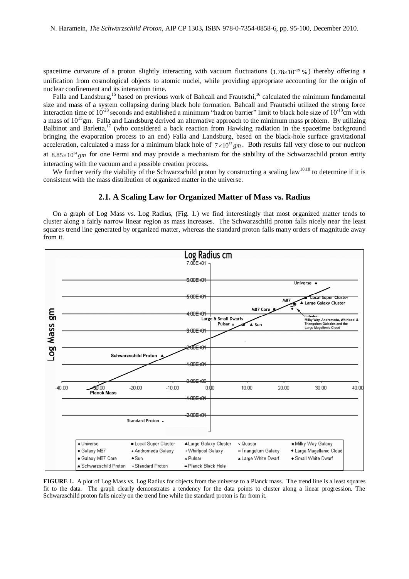spacetime curvature of a proton slightly interacting with vacuum fluctuations  $(1.78 \times 10^{-39} \%)$  thereby offering a unification from cosmological objects to atomic nuclei, while providing appropriate accounting for the origin of nuclear confinement and its interaction time.

Falla and Landsburg,<sup>15</sup> based on previous work of Bahcall and Frautschi,<sup>16</sup> calculated the minimum fundamental size and mass of a system collapsing during black hole formation. Bahcall and Frautschi utilized the strong force interaction time of  $10^{-23}$  seconds and established a minimum "hadron barrier" limit to black hole size of  $10^{-13}$ cm with a mass of  $10^{15}$ gm. Falla and Landsburg derived an alternative approach to the minimum mass problem. By utilizing Balbinot and Barletta,<sup>17</sup> (who considered a back reaction from Hawking radiation in the spacetime background bringing the evaporation process to an end) Falla and Landsburg, based on the black-hole surface gravitational acceleration, calculated a mass for a minimum black hole of  $7 \times 10^{13}$  gm. Both results fall very close to our nucleon at  $8.85 \times 10^{14}$  gm for one Fermi and may provide a mechanism for the stability of the Schwarzschild proton entity interacting with the vacuum and a possible creation process.

We further verify the viability of the Schwarzschild proton by constructing a scaling law<sup>10,18</sup> to determine if it is consistent with the mass distribution of organized matter in the universe.

#### **2.1. A Scaling Law for Organized Matter of Mass vs. Radius**

On a graph of Log Mass vs. Log Radius, (Fig. 1.) we find interestingly that most organized matter tends to cluster along a fairly narrow linear region as mass increases. The Schwarzschild proton falls nicely near the least squares trend line generated by organized matter, whereas the standard proton falls many orders of magnitude away from it.



**FIGURE 1.** A plot of Log Mass vs. Log Radius for objects from the universe to a Planck mass. The trend line is a least squares fit to the data. The graph clearly demonstrates a tendency for the data points to cluster along a linear progression. The Schwarzschild proton falls nicely on the trend line while the standard proton is far from it.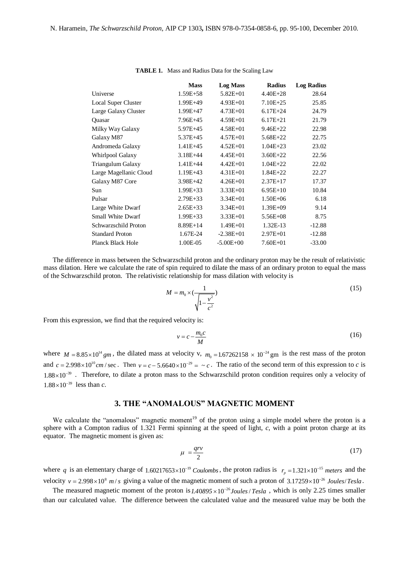|                            | <b>Mass</b>  | <b>Log Mass</b> | <b>Radius</b> | <b>Log Radius</b> |
|----------------------------|--------------|-----------------|---------------|-------------------|
| Universe                   | $1.59E + 58$ | $5.82E + 01$    | $4.40E + 28$  | 28.64             |
| <b>Local Super Cluster</b> | 1.99E+49     | $4.93E + 01$    | $7.10E + 25$  | 25.85             |
| Large Galaxy Cluster       | 1.99E+47     | $4.73E + 01$    | $6.17E + 24$  | 24.79             |
| Quasar                     | 7.96E+45     | $4.59E + 01$    | $6.17E + 21$  | 21.79             |
| Milky Way Galaxy           | 5.97E+45     | $4.58E + 01$    | $9.46E + 22$  | 22.98             |
| Galaxy M87                 | 5.37E+45     | $4.57E + 01$    | $5.68E + 22$  | 22.75             |
| Andromeda Galaxy           | $1.41E + 45$ | $4.52E + 01$    | $1.04E + 23$  | 23.02             |
| Whirlpool Galaxy           | $3.18E + 44$ | $4.45E + 01$    | $3.60E + 22$  | 22.56             |
| Triangulum Galaxy          | $1.41E + 44$ | $4.42E + 01$    | $1.04E + 22$  | 22.02             |
| Large Magellanic Cloud     | $1.19E + 43$ | $4.31E + 01$    | $1.84E + 22$  | 22.27             |
| Galaxy M87 Core            | 3.98E+42     | $4.26E + 01$    | $2.37E+17$    | 17.37             |
| Sun                        | $1.99E + 33$ | $3.33E + 01$    | $6.95E+10$    | 10.84             |
| Pulsar                     | $2.79E + 33$ | $3.34E + 01$    | $1.50E + 06$  | 6.18              |
| Large White Dwarf          | $2.65E + 33$ | $3.34E + 01$    | $1.39E + 09$  | 9.14              |
| <b>Small White Dwarf</b>   | $1.99E + 33$ | $3.33E + 01$    | $5.56E + 08$  | 8.75              |
| Schwarzschild Proton       | $8.89E+14$   | $1.49E + 01$    | 1.32E-13      | $-12.88$          |
| <b>Standard Proton</b>     | 1.67E-24     | $-2.38E + 01$   | $2.97E + 01$  | $-12.88$          |
| Planck Black Hole          | 1.00E-05     | $-5.00E + 00$   | $7.60E + 01$  | $-33.00$          |

**TABLE 1.** Mass and Radius Data for the Scaling Law

The difference in mass between the Schwarzschild proton and the ordinary proton may be the result of relativistic mass dilation. Here we calculate the rate of spin required to dilate the mass of an ordinary proton to equal the mass of the Schwarzschild proton. The relativistic relationship for mass dilation with velocity is

$$
M = m_0 \times \left(\frac{1}{\sqrt{1 - \frac{v^2}{c^2}}}\right) \tag{15}
$$

From this expression, we find that the required velocity is:

$$
v = c - \frac{m_0 c}{M}
$$
 (16)

where  $M = 8.85 \times 10^{14}$  gm, the dilated mass at velocity v,  $m_0 = 1.67262158 \times 10^{-24}$  gm is the rest mass of the proton and  $c = 2.998 \times 10^{10}$  cm / sec. Then  $v = c - 5.6640 \times 10^{-29} = -c$ . The ratio of the second term of this expression to *c* is  $1.88 \times 10^{-39}$ . Therefore, to dilate a proton mass to the Schwarzschild proton condition requires only a velocity of  $1.88 \times 10^{-39}$  less than *c*.

## **3. THE "ANOMALOUS" MAGNETIC MOMENT**

We calculate the "anomalous" magnetic moment<sup>19</sup> of the proton using a simple model where the proton is a sphere with a Compton radius of 1.321 Fermi spinning at the speed of light, *c*, with a point proton charge at its equator. The magnetic moment is given as:

$$
\mu = \frac{qv}{2} \tag{17}
$$

where q is an elementary charge of  $1.60217653 \times 10^{-19}$  Coulombs, the proton radius is  $r_p = 1.321 \times 10^{-15}$  meters and the velocity  $v = 2.998 \times 10^8$  *m/s* giving a value of the magnetic moment of such a proton of 3.17259×10<sup>-26</sup> Joules/Tesla.

The measured magnetic moment of the proton is  $1.40895 \times 10^{-26}$  *Joules / Tesla*, which is only 2.25 times smaller than our calculated value. The difference between the calculated value and the measured value may be both the